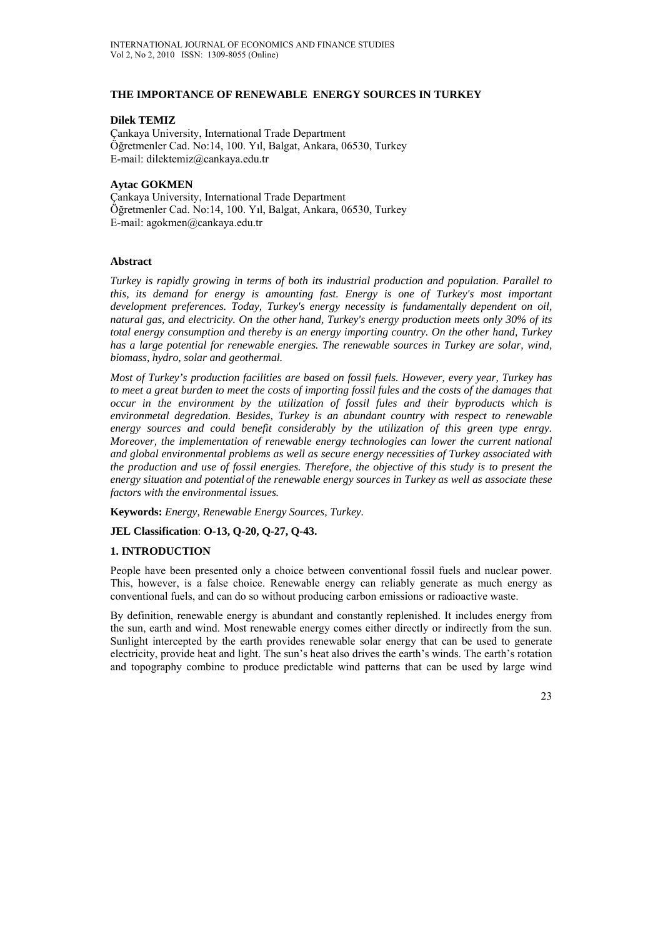## **THE IMPORTANCE OF RENEWABLE ENERGY SOURCES IN TURKEY**

## **Dilek TEMIZ**

Çankaya University, International Trade Department Öğretmenler Cad. No:14, 100. Yıl, Balgat, Ankara, 06530, Turkey E-mail: dilektemiz@cankaya.edu.tr

## **Aytac GOKMEN**

Çankaya University, International Trade Department Öğretmenler Cad. No:14, 100. Yıl, Balgat, Ankara, 06530, Turkey E-mail: agokmen@cankaya.edu.tr

## **Abstract**

*Turkey is rapidly growing in terms of both its industrial production and population. Parallel to this, its demand for energy is amounting fast. Energy is one of Turkey's most important development preferences. Today, Turkey's energy necessity is fundamentally dependent on oil, natural gas, and electricity. On the other hand, Turkey's energy production meets only 30% of its total energy consumption and thereby is an energy importing country. On the other hand, Turkey*  has a large potential for renewable energies. The renewable sources in Turkey are solar, wind, *biomass, hydro, solar and geothermal.* 

*Most of Turkey's production facilities are based on fossil fuels. However, every year, Turkey has to meet a great burden to meet the costs of importing fossil fules and the costs of the damages that occur in the environment by the utilization of fossil fules and their byproducts which is environmetal degredation. Besides, Turkey is an abundant country with respect to renewable energy sources and could benefit considerably by the utilization of this green type enrgy. Moreover, the implementation of renewable energy technologies can lower the current national and global environmental problems as well as secure energy necessities of Turkey associated with the production and use of fossil energies. Therefore, the objective of this study is to present the energy situation and potential of the renewable energy sources in Turkey as well as associate these factors with the environmental issues.* 

**Keywords:** *Energy, Renewable Energy Sources, Turkey.* 

## **JEL Classification**: **O-13, Q-20, Q-27, Q-43.**

## **1. INTRODUCTION**

People have been presented only a choice between conventional fossil fuels and nuclear power. This, however, is a false choice. Renewable energy can reliably generate as much energy as conventional fuels, and can do so without producing carbon emissions or radioactive waste.

By definition, renewable energy is abundant and constantly replenished. It includes energy from the sun, earth and wind. Most renewable energy comes either directly or indirectly from the sun. Sunlight intercepted by the earth provides renewable solar energy that can be used to generate electricity, provide heat and light. The sun's heat also drives the earth's winds. The earth's rotation and topography combine to produce predictable wind patterns that can be used by large wind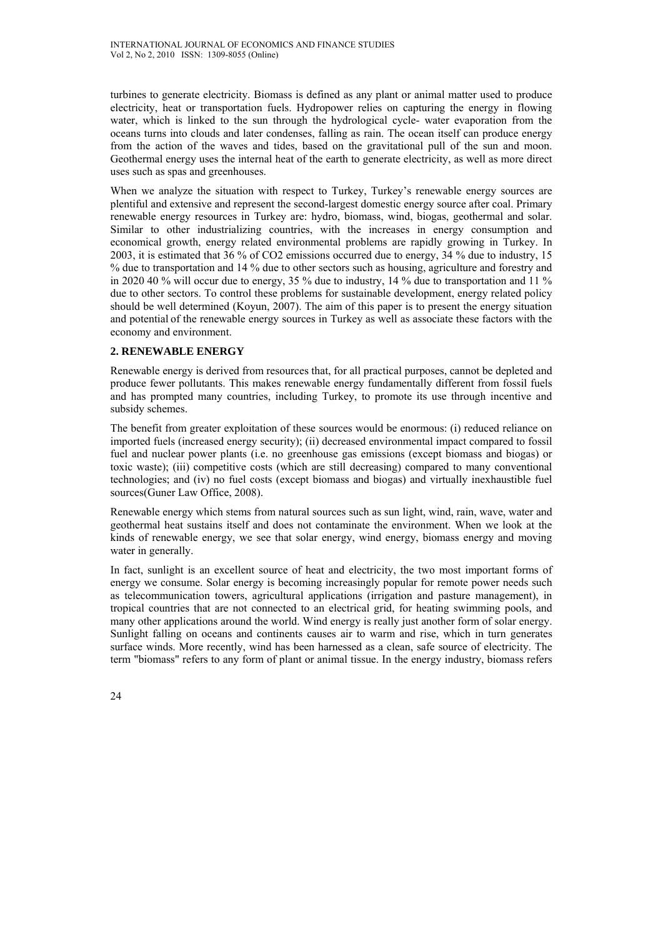turbines to generate electricity. Biomass is defined as any plant or animal matter used to produce electricity, heat or transportation fuels. Hydropower relies on capturing the energy in flowing water, which is linked to the sun through the hydrological cycle- water evaporation from the oceans turns into clouds and later condenses, falling as rain. The ocean itself can produce energy from the action of the waves and tides, based on the gravitational pull of the sun and moon. Geothermal energy uses the internal heat of the earth to generate electricity, as well as more direct uses such as spas and greenhouses.

When we analyze the situation with respect to Turkey, Turkey's renewable energy sources are plentiful and extensive and represent the second-largest domestic energy source after coal. Primary renewable energy resources in Turkey are: hydro, biomass, wind, biogas, geothermal and solar. Similar to other industrializing countries, with the increases in energy consumption and economical growth, energy related environmental problems are rapidly growing in Turkey. In 2003, it is estimated that 36 % of CO2 emissions occurred due to energy, 34 % due to industry, 15 % due to transportation and 14 % due to other sectors such as housing, agriculture and forestry and in 2020 40 % will occur due to energy, 35 % due to industry, 14 % due to transportation and 11 % due to other sectors. To control these problems for sustainable development, energy related policy should be well determined (Koyun, 2007). The aim of this paper is to present the energy situation and potential of the renewable energy sources in Turkey as well as associate these factors with the economy and environment.

# **2. RENEWABLE ENERGY**

Renewable energy is derived from resources that, for all practical purposes, cannot be depleted and produce fewer pollutants. This makes renewable energy fundamentally different from fossil fuels and has prompted many countries, including Turkey, to promote its use through incentive and subsidy schemes.

The benefit from greater exploitation of these sources would be enormous: (i) reduced reliance on imported fuels (increased energy security); (ii) decreased environmental impact compared to fossil fuel and nuclear power plants (i.e. no greenhouse gas emissions (except biomass and biogas) or toxic waste); (iii) competitive costs (which are still decreasing) compared to many conventional technologies; and (iv) no fuel costs (except biomass and biogas) and virtually inexhaustible fuel sources(Guner Law Office, 2008).

Renewable energy which stems from natural sources such as sun light, wind, rain, wave, water and geothermal heat sustains itself and does not contaminate the environment. When we look at the kinds of renewable energy, we see that solar energy, wind energy, biomass energy and moving water in generally.

In fact, sunlight is an excellent source of heat and electricity, the two most important forms of energy we consume. Solar energy is becoming increasingly popular for remote power needs such as telecommunication towers, agricultural applications (irrigation and pasture management), in tropical countries that are not connected to an electrical grid, for heating swimming pools, and many other applications around the world. Wind energy is really just another form of solar energy. Sunlight falling on oceans and continents causes air to warm and rise, which in turn generates surface winds. More recently, wind has been harnessed as a clean, safe source of electricity. The term "biomass" refers to any form of plant or animal tissue. In the energy industry, biomass refers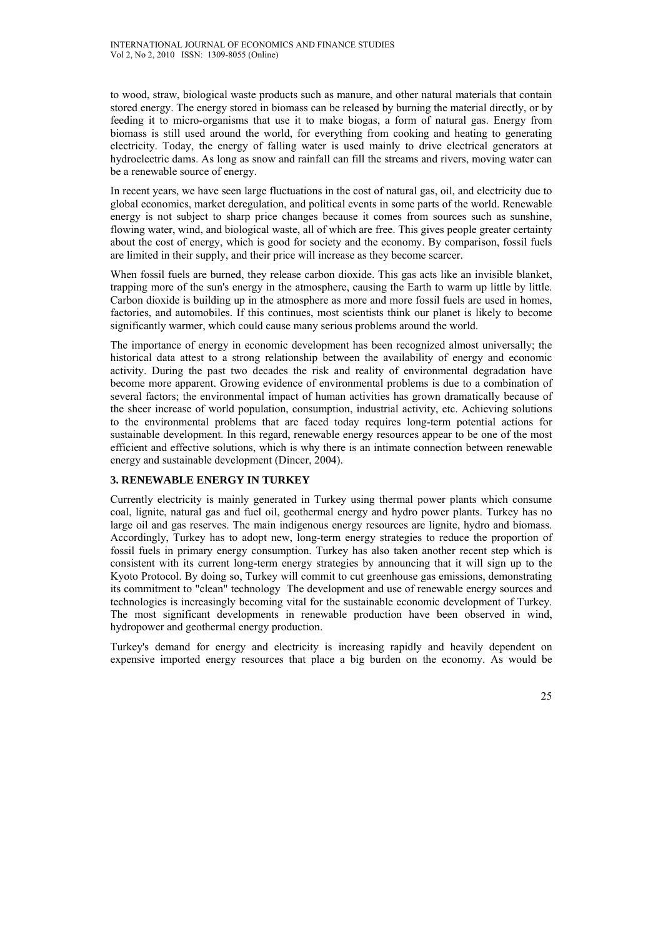to wood, straw, biological waste products such as manure, and other natural materials that contain stored energy. The energy stored in biomass can be released by burning the material directly, or by feeding it to micro-organisms that use it to make biogas, a form of natural gas. Energy from biomass is still used around the world, for everything from cooking and heating to generating electricity. Today, the energy of falling water is used mainly to drive electrical generators at hydroelectric dams. As long as snow and rainfall can fill the streams and rivers, moving water can be a renewable source of energy.

In recent years, we have seen large fluctuations in the cost of natural gas, oil, and electricity due to global economics, market deregulation, and political events in some parts of the world. Renewable energy is not subject to sharp price changes because it comes from sources such as sunshine, flowing water, wind, and biological waste, all of which are free. This gives people greater certainty about the cost of energy, which is good for society and the economy. By comparison, fossil fuels are limited in their supply, and their price will increase as they become scarcer.

When fossil fuels are burned, they release carbon dioxide. This gas acts like an invisible blanket, trapping more of the sun's energy in the atmosphere, causing the Earth to warm up little by little. Carbon dioxide is building up in the atmosphere as more and more fossil fuels are used in homes, factories, and automobiles. If this continues, most scientists think our planet is likely to become significantly warmer, which could cause many serious problems around the world.

The importance of energy in economic development has been recognized almost universally; the historical data attest to a strong relationship between the availability of energy and economic activity. During the past two decades the risk and reality of environmental degradation have become more apparent. Growing evidence of environmental problems is due to a combination of several factors; the environmental impact of human activities has grown dramatically because of the sheer increase of world population, consumption, industrial activity, etc. Achieving solutions to the environmental problems that are faced today requires long-term potential actions for sustainable development. In this regard, renewable energy resources appear to be one of the most efficient and effective solutions, which is why there is an intimate connection between renewable energy and sustainable development (Dincer, 2004).

# **3. RENEWABLE ENERGY IN TURKEY**

Currently electricity is mainly generated in Turkey using thermal power plants which consume coal, lignite, natural gas and fuel oil, geothermal energy and hydro power plants. Turkey has no large oil and gas reserves. The main indigenous energy resources are lignite, hydro and biomass. Accordingly, Turkey has to adopt new, long-term energy strategies to reduce the proportion of fossil fuels in primary energy consumption. Turkey has also taken another recent step which is consistent with its current long-term energy strategies by announcing that it will sign up to the Kyoto Protocol. By doing so, Turkey will commit to cut greenhouse gas emissions, demonstrating its commitment to "clean" technology The development and use of renewable energy sources and technologies is increasingly becoming vital for the sustainable economic development of Turkey. The most significant developments in renewable production have been observed in wind, hydropower and geothermal energy production.

Turkey's demand for energy and electricity is increasing rapidly and heavily dependent on expensive imported energy resources that place a big burden on the economy. As would be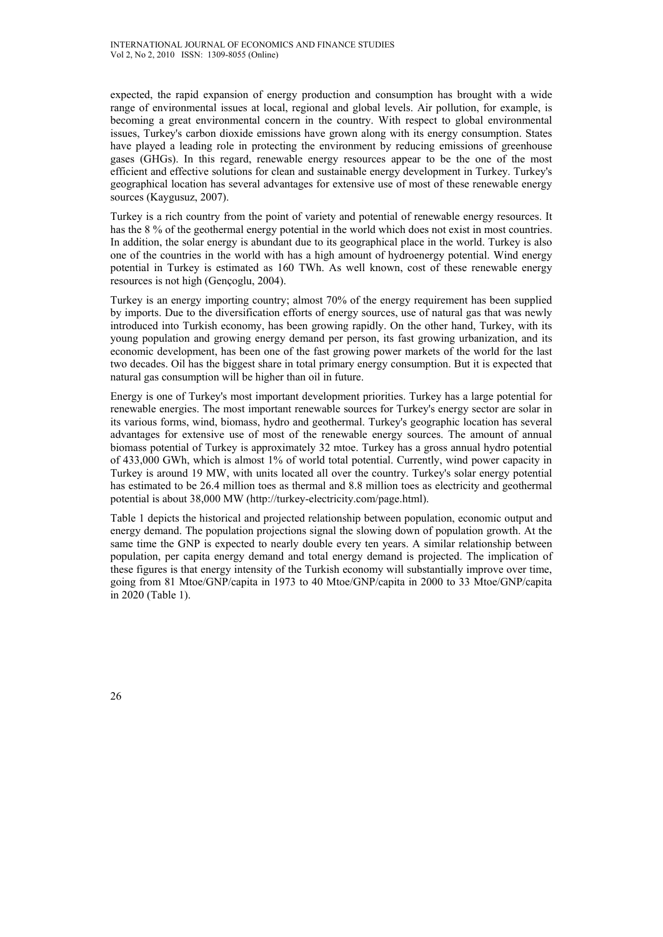expected, the rapid expansion of energy production and consumption has brought with a wide range of environmental issues at local, regional and global levels. Air pollution, for example, is becoming a great environmental concern in the country. With respect to global environmental issues, Turkey's carbon dioxide emissions have grown along with its energy consumption. States have played a leading role in protecting the environment by reducing emissions of greenhouse gases (GHGs). In this regard, renewable energy resources appear to be the one of the most efficient and effective solutions for clean and sustainable energy development in Turkey. Turkey's geographical location has several advantages for extensive use of most of these renewable energy sources (Kaygusuz, 2007).

Turkey is a rich country from the point of variety and potential of renewable energy resources. It has the 8 % of the geothermal energy potential in the world which does not exist in most countries. In addition, the solar energy is abundant due to its geographical place in the world. Turkey is also one of the countries in the world with has a high amount of hydroenergy potential. Wind energy potential in Turkey is estimated as 160 TWh. As well known, cost of these renewable energy resources is not high (Gençoglu, 2004).

Turkey is an energy importing country; almost 70% of the energy requirement has been supplied by imports. Due to the diversification efforts of energy sources, use of natural gas that was newly introduced into Turkish economy, has been growing rapidly. On the other hand, Turkey, with its young population and growing energy demand per person, its fast growing urbanization, and its economic development, has been one of the fast growing power markets of the world for the last two decades. Oil has the biggest share in total primary energy consumption. But it is expected that natural gas consumption will be higher than oil in future.

Energy is one of Turkey's most important development priorities. Turkey has a large potential for renewable energies. The most important renewable sources for Turkey's energy sector are solar in its various forms, wind, biomass, hydro and geothermal. Turkey's geographic location has several advantages for extensive use of most of the renewable energy sources. The amount of annual biomass potential of Turkey is approximately 32 mtoe. Turkey has a gross annual hydro potential of 433,000 GWh, which is almost 1% of world total potential. Currently, wind power capacity in Turkey is around 19 MW, with units located all over the country. Turkey's solar energy potential has estimated to be 26.4 million toes as thermal and 8.8 million toes as electricity and geothermal potential is about 38,000 MW (http://turkey-electricity.com/page.html).

Table 1 depicts the historical and projected relationship between population, economic output and energy demand. The population projections signal the slowing down of population growth. At the same time the GNP is expected to nearly double every ten years. A similar relationship between population, per capita energy demand and total energy demand is projected. The implication of these figures is that energy intensity of the Turkish economy will substantially improve over time, going from 81 Mtoe/GNP/capita in 1973 to 40 Mtoe/GNP/capita in 2000 to 33 Mtoe/GNP/capita in 2020 (Table 1).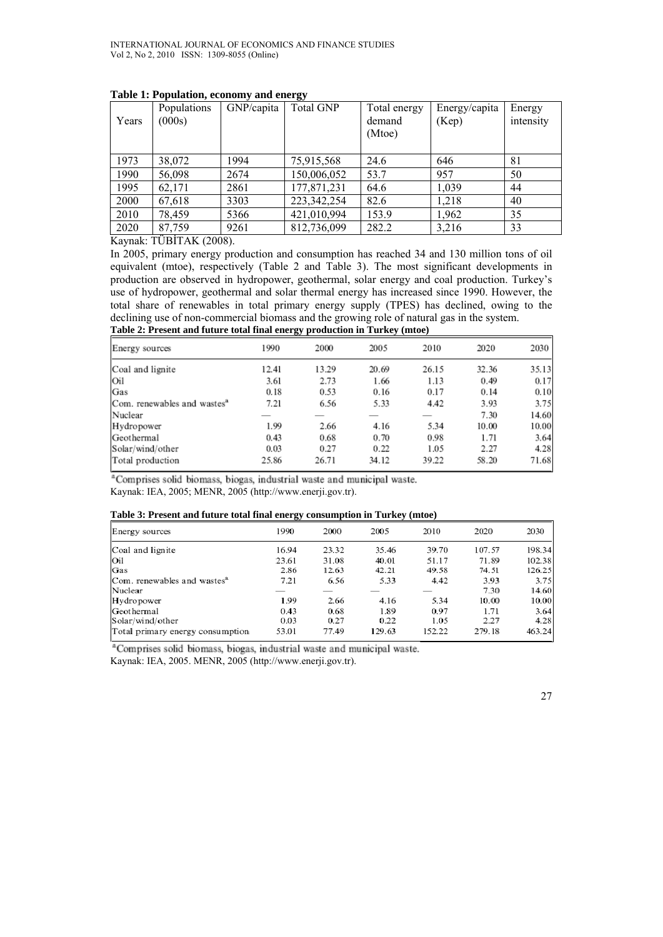|       | Populations | GNP/capita | <b>Total GNP</b> | Total energy     | Energy/capita | Energy    |
|-------|-------------|------------|------------------|------------------|---------------|-----------|
| Years | (000s)      |            |                  | demand<br>(Mtoe) | (Kep)         | intensity |
|       |             |            |                  |                  |               |           |
|       |             |            |                  |                  |               |           |
| 1973  | 38,072      | 1994       | 75,915,568       | 24.6             | 646           | 81        |
| 1990  | 56,098      | 2674       | 150,006,052      | 53.7             | 957           | 50        |
| 1995  | 62,171      | 2861       | 177,871,231      | 64.6             | 1,039         | 44        |
| 2000  | 67,618      | 3303       | 223, 342, 254    | 82.6             | 1,218         | 40        |
| 2010  | 78,459      | 5366       | 421,010,994      | 153.9            | 1,962         | 35        |
| 2020  | 87,759      | 9261       | 812,736,099      | 282.2            | 3,216         | 33        |

### **Table 1: Population, economy and energy**

Kaynak: TÜBİTAK (2008).

In 2005, primary energy production and consumption has reached 34 and 130 million tons of oil equivalent (mtoe), respectively (Table 2 and Table 3). The most significant developments in production are observed in hydropower, geothermal, solar energy and coal production. Turkey's use of hydropower, geothermal and solar thermal energy has increased since 1990. However, the total share of renewables in total primary energy supply (TPES) has declined, owing to the declining use of non-commercial biomass and the growing role of natural gas in the system. **Table 2: Present and future total final energy production in Turkey (mtoe)**

| Energy sources                          | 1990  | 2000  | 2005  | 2010  | 2020  | 2030  |
|-----------------------------------------|-------|-------|-------|-------|-------|-------|
| Coal and lignite                        | 12.41 | 13.29 | 20.69 | 26.15 | 32.36 | 35.13 |
| Oil                                     | 3.61  | 2.73  | 1.66  | 1.13  | 0.49  | 0.17  |
| Gas                                     | 0.18  | 0.53  | 0.16  | 0.17  | 0.14  | 0.10  |
| Com. renewables and wastes <sup>a</sup> | 7.21  | 6.56  | 5.33  | 4.42  | 3.93  | 3.75  |
| Nuclear                                 |       |       |       |       | 7.30  | 14.60 |
| Hydropower                              | 1.99  | 2.66  | 4.16  | 5.34  | 10.00 | 10.00 |
| Geothermal                              | 0.43  | 0.68  | 0.70  | 0.98  | 1.71  | 3.64  |
| Solar/wind/other                        | 0.03  | 0.27  | 0.22  | 1.05  | 2.27  | 4.28  |
| Total production                        | 25.86 | 26.71 | 34.12 | 39.22 | 58.20 | 71.68 |

<sup>a</sup>Comprises solid biomass, biogas, industrial waste and municipal waste. Kaynak: IEA, 2005; MENR, 2005 (http://www.enerji.gov.tr).

#### **Table 3: Present and future total final energy consumption in Turkey (mtoe)**

| Energy sources                          | 1990  | 2000  | 2005   | 2010   | 2020   | 2030   |
|-----------------------------------------|-------|-------|--------|--------|--------|--------|
| Coal and lignite                        | 16.94 | 23.32 | 35.46  | 39.70  | 107.57 | 198.34 |
| Oil                                     | 23.61 | 31.08 | 40.01  | 51.17  | 71.89  | 102.38 |
| Gas                                     | 2.86  | 12.63 | 42.21  | 49.58  | 74.51  | 126.25 |
| Com. renewables and wastes <sup>a</sup> | 7.21  | 6.56  | 5.33   | 4.42   | 3.93   | 3.75   |
| Nuclear                                 |       |       |        |        | 7.30   | 14.60  |
| Hydropower                              | 1.99  | 2.66  | 4.16   | 5.34   | 10.00  | 10.00  |
| Geothermal                              | 0.43  | 0.68  | 1.89   | 0.97   | 1.71   | 3.64   |
| Solar/wind/other                        | 0.03  | 0.27  | 0.22   | 1.05   | 2.27   | 4.28   |
| Total primary energy consumption        | 53.01 | 77.49 | 129.63 | 152.22 | 279.18 | 463.24 |

<sup>a</sup>Comprises solid biomass, biogas, industrial waste and municipal waste. Kaynak: IEA, 2005. MENR, 2005 (http://www.enerji.gov.tr).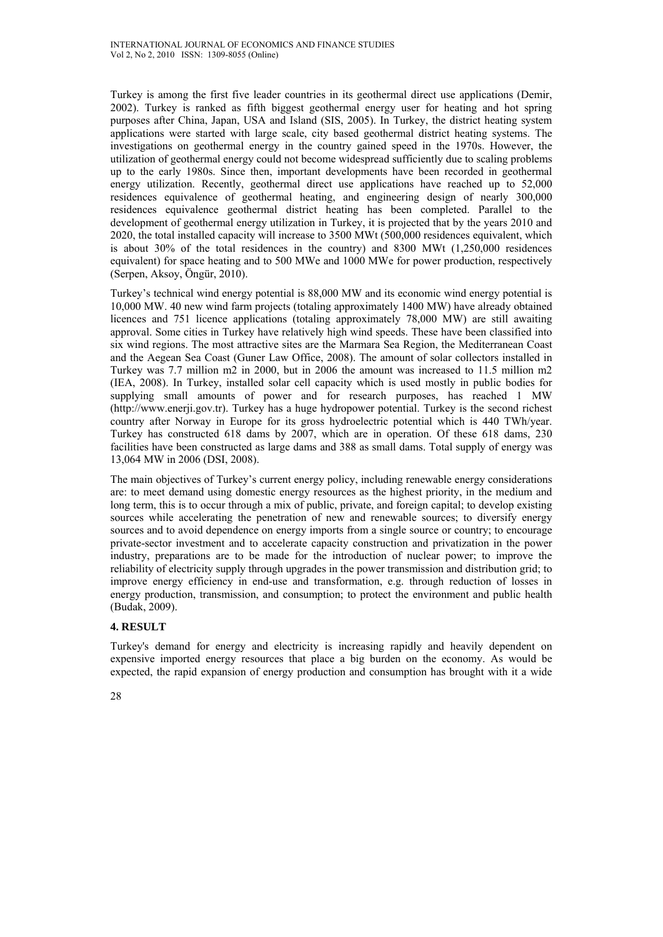Turkey is among the first five leader countries in its geothermal direct use applications (Demir, 2002). Turkey is ranked as fifth biggest geothermal energy user for heating and hot spring purposes after China, Japan, USA and Island (SIS, 2005). In Turkey, the district heating system applications were started with large scale, city based geothermal district heating systems. The investigations on geothermal energy in the country gained speed in the 1970s. However, the utilization of geothermal energy could not become widespread sufficiently due to scaling problems up to the early 1980s. Since then, important developments have been recorded in geothermal energy utilization. Recently, geothermal direct use applications have reached up to 52,000 residences equivalence of geothermal heating, and engineering design of nearly 300,000 residences equivalence geothermal district heating has been completed. Parallel to the development of geothermal energy utilization in Turkey, it is projected that by the years 2010 and 2020, the total installed capacity will increase to 3500 MWt (500,000 residences equivalent, which is about 30% of the total residences in the country) and 8300 MWt (1,250,000 residences equivalent) for space heating and to 500 MWe and 1000 MWe for power production, respectively (Serpen, Aksoy, Öngür, 2010).

Turkey's technical wind energy potential is 88,000 MW and its economic wind energy potential is 10,000 MW. 40 new wind farm projects (totaling approximately 1400 MW) have already obtained licences and 751 licence applications (totaling approximately 78,000 MW) are still awaiting approval. Some cities in Turkey have relatively high wind speeds. These have been classified into six wind regions. The most attractive sites are the Marmara Sea Region, the Mediterranean Coast and the Aegean Sea Coast (Guner Law Office, 2008). The amount of solar collectors installed in Turkey was 7.7 million m2 in 2000, but in 2006 the amount was increased to 11.5 million m2 (IEA, 2008). In Turkey, installed solar cell capacity which is used mostly in public bodies for supplying small amounts of power and for research purposes, has reached 1 MW (http://www.enerji.gov.tr). Turkey has a huge hydropower potential. Turkey is the second richest country after Norway in Europe for its gross hydroelectric potential which is 440 TWh/year. Turkey has constructed 618 dams by 2007, which are in operation. Of these 618 dams, 230 facilities have been constructed as large dams and 388 as small dams. Total supply of energy was 13,064 MW in 2006 (DSI, 2008).

The main objectives of Turkey's current energy policy, including renewable energy considerations are: to meet demand using domestic energy resources as the highest priority, in the medium and long term, this is to occur through a mix of public, private, and foreign capital; to develop existing sources while accelerating the penetration of new and renewable sources; to diversify energy sources and to avoid dependence on energy imports from a single source or country; to encourage private-sector investment and to accelerate capacity construction and privatization in the power industry, preparations are to be made for the introduction of nuclear power; to improve the reliability of electricity supply through upgrades in the power transmission and distribution grid; to improve energy efficiency in end-use and transformation, e.g. through reduction of losses in energy production, transmission, and consumption; to protect the environment and public health (Budak, 2009).

# **4. RESULT**

Turkey's demand for energy and electricity is increasing rapidly and heavily dependent on expensive imported energy resources that place a big burden on the economy. As would be expected, the rapid expansion of energy production and consumption has brought with it a wide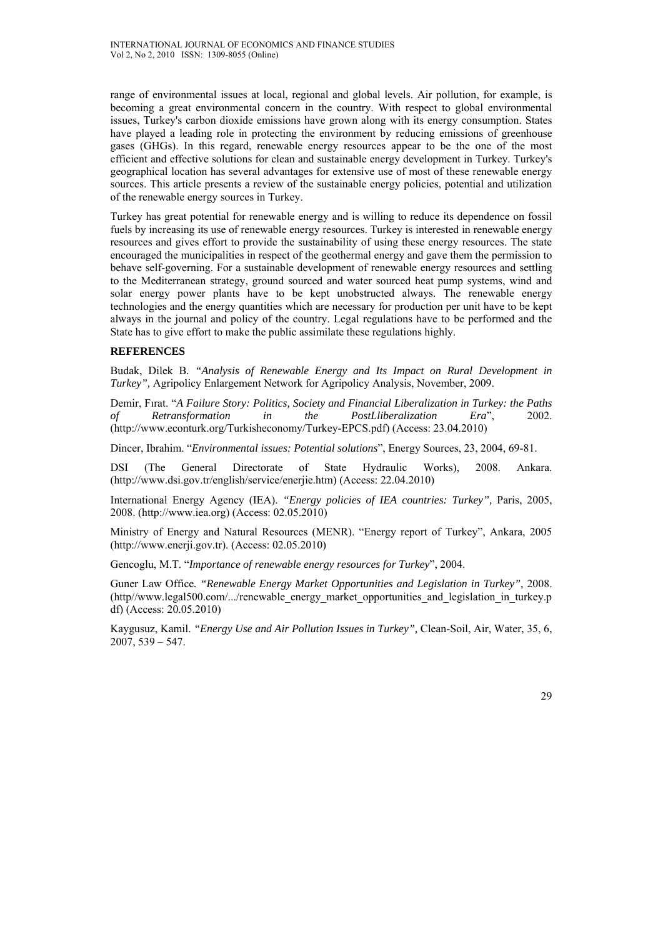range of environmental issues at local, regional and global levels. Air pollution, for example, is becoming a great environmental concern in the country. With respect to global environmental issues, Turkey's carbon dioxide emissions have grown along with its energy consumption. States have played a leading role in protecting the environment by reducing emissions of greenhouse gases (GHGs). In this regard, renewable energy resources appear to be the one of the most efficient and effective solutions for clean and sustainable energy development in Turkey. Turkey's geographical location has several advantages for extensive use of most of these renewable energy sources. This article presents a review of the sustainable energy policies, potential and utilization of the renewable energy sources in Turkey.

Turkey has great potential for renewable energy and is willing to reduce its dependence on fossil fuels by increasing its use of renewable energy resources. Turkey is interested in renewable energy resources and gives effort to provide the sustainability of using these energy resources. The state encouraged the municipalities in respect of the geothermal energy and gave them the permission to behave self-governing. For a sustainable development of renewable energy resources and settling to the Mediterranean strategy, ground sourced and water sourced heat pump systems, wind and solar energy power plants have to be kept unobstructed always. The renewable energy technologies and the energy quantities which are necessary for production per unit have to be kept always in the journal and policy of the country. Legal regulations have to be performed and the State has to give effort to make the public assimilate these regulations highly.

# **REFERENCES**

Budak, Dilek B*. "Analysis of Renewable Energy and Its Impact on Rural Development in Turkey",* Agripolicy Enlargement Network for Agripolicy Analysis, November, 2009.

Demir, Fırat. "*A Failure Story: Politics, Society and Financial Liberalization in Turkey: the Paths of Retransformation in the PostLliberalization Era*", 2002. (http://www.econturk.org/Turkisheconomy/Turkey-EPCS.pdf) (Access: 23.04.2010)

Dincer, Ibrahim. "*Environmental issues: Potential solutions*", Energy Sources, 23, 2004, 69-81.

DSI (The General Directorate of State Hydraulic Works), 2008. Ankara. (http://www.dsi.gov.tr/english/service/enerjie.htm) (Access: 22.04.2010)

International Energy Agency (IEA). *"Energy policies of IEA countries: Turkey",* Paris, 2005, 2008. (http://www.iea.org) (Access: 02.05.2010)

Ministry of Energy and Natural Resources (MENR). "Energy report of Turkey", Ankara, 2005 (http://www.enerji.gov.tr). (Access: 02.05.2010)

Gencoglu, M.T. "*Importance of renewable energy resources for Turkey*", 2004.

Guner Law Office*. "Renewable Energy Market Opportunities and Legislation in Turkey"*, 2008. (http//www.legal500.com/.../renewable\_energy\_market\_opportunities\_and\_legislation\_in\_turkey.p df) (Access: 20.05.2010)

Kaygusuz, Kamil. *"Energy Use and Air Pollution Issues in Turkey",* Clean-Soil, Air, Water, 35, 6, 2007, 539 – 547.